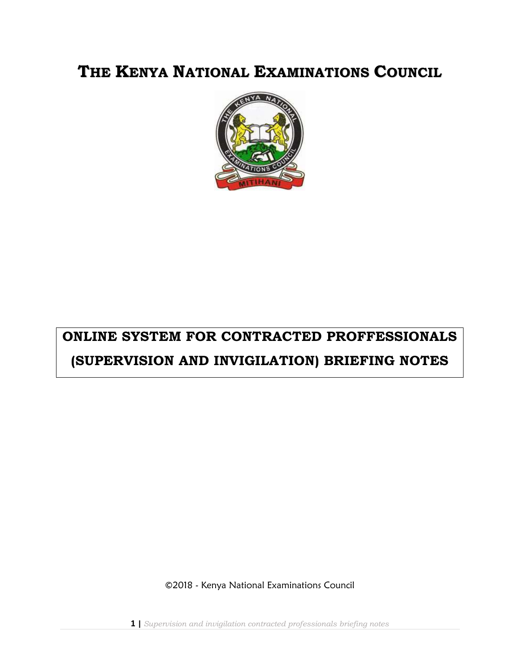# **THE KENYA NATIONAL EXAMINATIONS COUNCIL**



# **ONLINE SYSTEM FOR CONTRACTED PROFFESSIONALS (SUPERVISION AND INVIGILATION) BRIEFING NOTES**

©2018 - Kenya National Examinations Council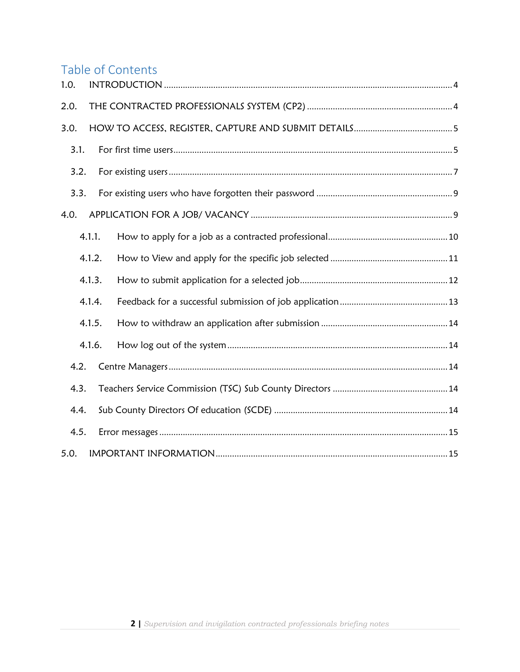# Table of Contents

| 1.0. |        |  |
|------|--------|--|
| 2.0. |        |  |
| 3.0. |        |  |
| 3.1. |        |  |
| 3.2. |        |  |
| 3.3. |        |  |
| 4.0. |        |  |
|      | 4.1.1. |  |
|      | 4.1.2. |  |
|      | 4.1.3. |  |
|      | 4.1.4. |  |
|      | 4.1.5. |  |
|      | 4.1.6. |  |
| 4.2. |        |  |
| 4.3. |        |  |
| 4.4. |        |  |
| 4.5. |        |  |
| 5.0. |        |  |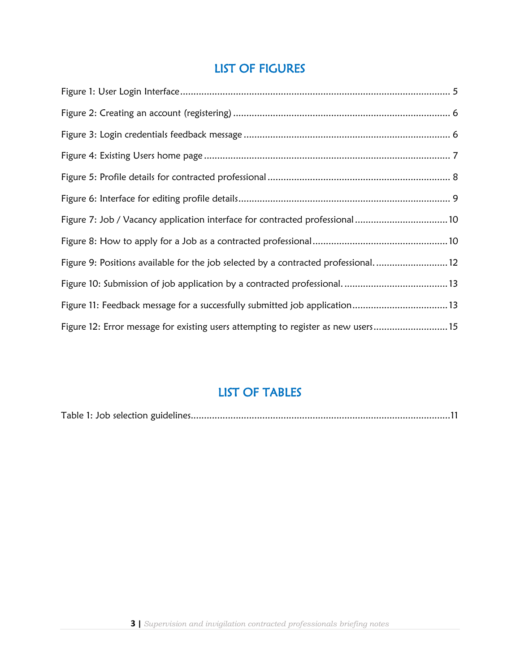# LIST OF FIGURES

| Figure 7: Job / Vacancy application interface for contracted professional10       |  |
|-----------------------------------------------------------------------------------|--|
|                                                                                   |  |
| Figure 9: Positions available for the job selected by a contracted professional12 |  |
|                                                                                   |  |
| Figure 11: Feedback message for a successfully submitted job application13        |  |
| Figure 12: Error message for existing users attempting to register as new users15 |  |

# LIST OF TABLES

|--|--|--|--|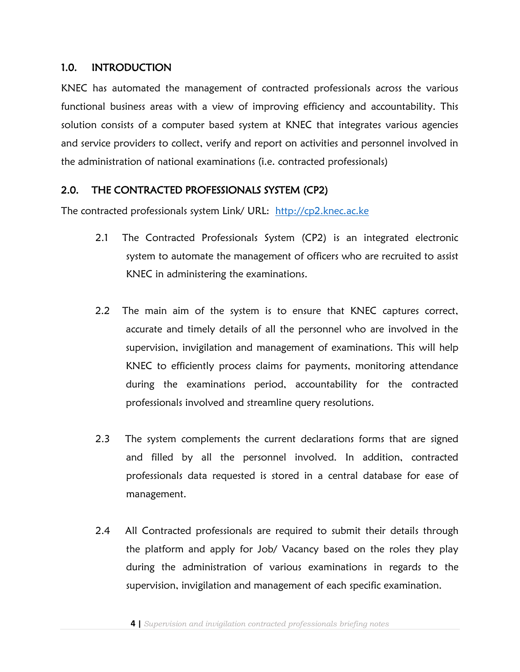#### <span id="page-3-0"></span>1.0. INTRODUCTION

KNEC has automated the management of contracted professionals across the various functional business areas with a view of improving efficiency and accountability. This solution consists of a computer based system at KNEC that integrates various agencies and service providers to collect, verify and report on activities and personnel involved in the administration of national examinations (i.e. contracted professionals)

# <span id="page-3-1"></span>2.0. THE CONTRACTED PROFESSIONALS SYSTEM (CP2)

The contracted professionals system Link/ URL: [http://cp2.knec.ac.ke](http://cp2.knec.ac.ke/) 

- 2.1 The Contracted Professionals System (CP2) is an integrated electronic system to automate the management of officers who are recruited to assist KNEC in administering the examinations.
- 2.2 The main aim of the system is to ensure that KNEC captures correct, accurate and timely details of all the personnel who are involved in the supervision, invigilation and management of examinations. This will help KNEC to efficiently process claims for payments, monitoring attendance during the examinations period, accountability for the contracted professionals involved and streamline query resolutions.
- 2.3 The system complements the current declarations forms that are signed and filled by all the personnel involved. In addition, contracted professionals data requested is stored in a central database for ease of management.
- 2.4 All Contracted professionals are required to submit their details through the platform and apply for Job/ Vacancy based on the roles they play during the administration of various examinations in regards to the supervision, invigilation and management of each specific examination.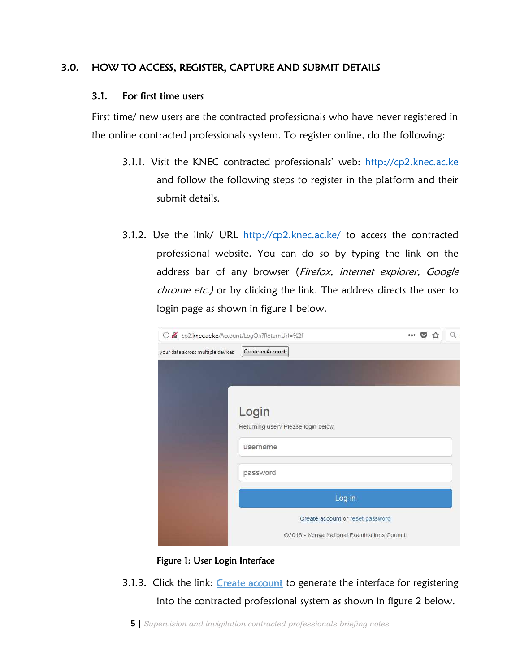# <span id="page-4-1"></span><span id="page-4-0"></span>3.0. HOW TO ACCESS, REGISTER, CAPTURE AND SUBMIT DETAILS

#### 3.1. For first time users

First time/ new users are the contracted professionals who have never registered in the online contracted professionals system. To register online, do the following:

- 3.1.1. Visit the KNEC contracted professionals' web: [http://cp2.knec.ac.ke](http://cp2.knec.ac.ke/) and follow the following steps to register in the platform and their submit details.
- 3.1.2. Use the link/ URL <http://cp2.knec.ac.ke/> to access the contracted professional website. You can do so by typing the link on the address bar of any browser (Firefox, internet explorer, Google chrome etc.) or by clicking the link. The address directs the user to login page as shown in figure 1 below.

| 19 2 cp2.knec.ac.ke/Account/LogOn?ReturnUrl=%2f |                                             | 0.0.0 | Q. |
|-------------------------------------------------|---------------------------------------------|-------|----|
| your data across multiple devices               | Create an Account                           |       |    |
|                                                 |                                             |       |    |
|                                                 |                                             |       |    |
|                                                 |                                             |       |    |
|                                                 | Login                                       |       |    |
|                                                 | Returning user? Please login below.         |       |    |
|                                                 | username                                    |       |    |
|                                                 |                                             |       |    |
|                                                 | password                                    |       |    |
|                                                 | Log in                                      |       |    |
|                                                 |                                             |       |    |
|                                                 | Create account or reset password            |       |    |
|                                                 | @2018 - Kenya National Examinations Council |       |    |

#### Figure 1: User Login Interface

<span id="page-4-2"></span>3.1.3. Click the link: Create account to generate the interface for registering into the contracted professional system as shown in figure 2 below.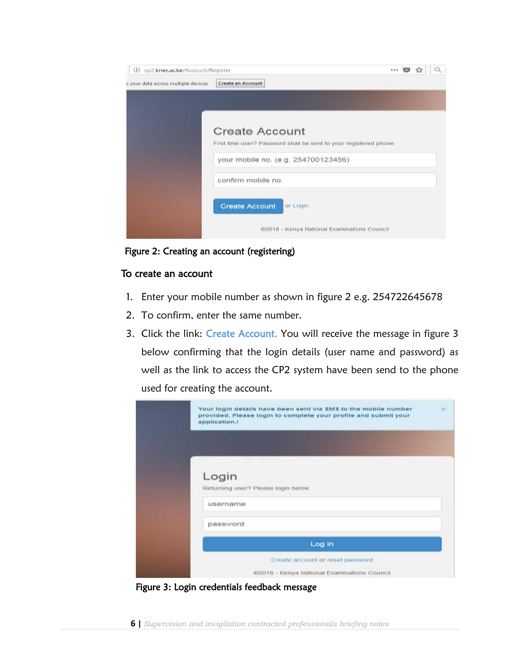| <b>CD</b> cp2.knec.ac.ke/Account/Register | <br>అ                                                             |  | a : |  |  |  |  |  |
|-------------------------------------------|-------------------------------------------------------------------|--|-----|--|--|--|--|--|
| c your data across multiple devices       | Create an Account                                                 |  |     |  |  |  |  |  |
|                                           |                                                                   |  |     |  |  |  |  |  |
|                                           |                                                                   |  |     |  |  |  |  |  |
|                                           | <b>Create Account</b>                                             |  |     |  |  |  |  |  |
|                                           | First time user? Password shall be sent to your registered phone. |  |     |  |  |  |  |  |
|                                           | your mobile no. (e.g. 254700123456)                               |  |     |  |  |  |  |  |
|                                           | confirm mobile no.                                                |  |     |  |  |  |  |  |
|                                           | <b>Create Account</b><br>or Login                                 |  |     |  |  |  |  |  |
|                                           | @2018 - Kenya National Examinations Council                       |  |     |  |  |  |  |  |

<span id="page-5-0"></span>Figure 2: Creating an account (registering)

#### To create an account

- 1. Enter your mobile number as shown in figure 2 e.g. 254722645678
- 2. To confirm, enter the same number.
- 3. Click the link: Create Account. You will receive the message in figure 3 below confirming that the login details (user name and password) as well as the link to access the CP2 system have been send to the phone used for creating the account.

| Your login details have been sent via SMS to the mobile number<br>provided. Please login to complete your profile and submit your<br>application. | × |
|---------------------------------------------------------------------------------------------------------------------------------------------------|---|
|                                                                                                                                                   |   |
| Login<br>Returning user? Please login below.                                                                                                      |   |
| username                                                                                                                                          |   |
| password                                                                                                                                          |   |
| Log in                                                                                                                                            |   |
| Create account or reset password<br>The second participate of the control of the seconds<br>@2018 - Kenya National Examinations Council           |   |

<span id="page-5-1"></span>Figure 3: Login credentials feedback message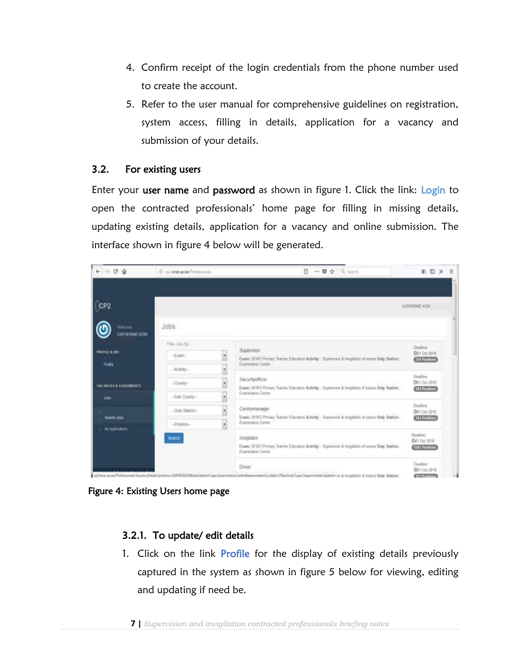- 4. Confirm receipt of the login credentials from the phone number used to create the account.
- 5. Refer to the user manual for comprehensive guidelines on registration, system access, filling in details, application for a vacancy and submission of your details.

### <span id="page-6-0"></span>3.2. For existing users

Enter your user name and password as shown in figure 1. Click the link: Login to open the contracted professionals' home page for filling in missing details, updating existing details, application for a vacancy and online submission. The interface shown in figure 4 below will be generated.

| $\leftarrow$ $\rightarrow$ $\circ$ $\circ$                | 3 In Three acke Primmission                                                         | Ø<br><b>** 夏 ☆   Q_Search</b>                                                                                                                                                                                                                                                                                                                      | ■ □ ≫<br>$\equiv$                                                                         |
|-----------------------------------------------------------|-------------------------------------------------------------------------------------|----------------------------------------------------------------------------------------------------------------------------------------------------------------------------------------------------------------------------------------------------------------------------------------------------------------------------------------------------|-------------------------------------------------------------------------------------------|
| CP <sub>2</sub><br>Welcowa<br>CATHERINE KOKI              | Jobs                                                                                |                                                                                                                                                                                                                                                                                                                                                    | <b>DIRETTE KOK</b>                                                                        |
| PROFILE & BID.<br>Drolla<br>VACANCIES & ASSOUMENTS<br>äde | Filter John Dy.<br>$-0.007 -$<br>$-\mathrm{Activity}$<br>-Courity-<br>-Bull County- | Supervisor<br>$\bullet$<br>Exam: 2010/1 Primary Teacher Exposition Activity: : Supervision & Invigibilion of exams Daily Stadion:<br><b>Examination Cantre</b><br>Securityofficer<br>۷<br>495-2010<br>Exam: 2010 2 Primary Teacher Education Activity: : Supervision & Involution of exams Divity Station:<br>Examination Centre<br>$\blacksquare$ | Diam'r.<br>COT Oct 2018<br>211 Postson<br><b>Beadless</b><br>@01.0cl.2018<br>201 Personal |
| Search John<br><b>WASHING</b>                             | -Outy Illason-<br>$-$ Polition-<br><b>Hardt</b>                                     | ٠<br>Centremanager<br>Exerc 2215/3 Primary Teacher Education Activity: : Supervision & Invigitation of exercy Daty Stations:<br>Exterimition Centre<br>$\left  \cdot \right $<br>Inviglator                                                                                                                                                        | Skadne:<br>(301 Oct 2019)<br><b>CITY OF COLOR</b><br>Dasfino:<br>E01 Oct 2018             |
|                                                           |                                                                                     | Exam: 2010/3-Primery Teacher Esscation Activity: . Bopervision & Invigitation of exams Divty Station:<br>Expression Centre<br>Driver<br>(a) Ingelated politicianal Hanno Bank Nostian (UNINTRA) da Ogno Francisco Legislam Analysaming Collect Different Additional Court Service Services Institution of January Date Different Analysis (2014)   | <b>4587 Powering</b><br>Deadless<br>@11 Oct 2918<br><b>ATTORPHISTIONS</b>                 |

<span id="page-6-1"></span>Figure 4: Existing Users home page

# 3.2.1. To update/ edit details

1. Click on the link Profile for the display of existing details previously captured in the system as shown in figure 5 below for viewing, editing and updating if need be.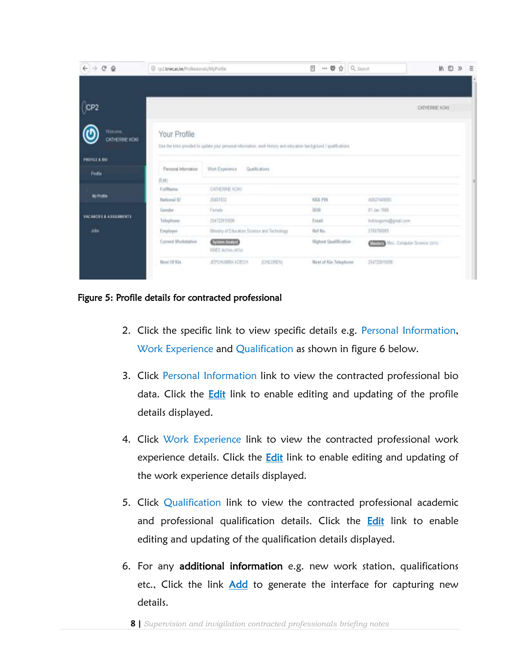| $($ CP2<br><b>Wekame</b><br>Your Profile<br>CATHERINE KONT<br>Use the links provided to update your personal information: work history and education background / qualifications.<br><b>PROTILE &amp; BIO</b><br>Personal Information<br>Quelifications<br>Work Experience<br>Profile<br>(Edit)<br>CATHERINE KONT<br>Follforme<br>My Profile<br>ква Рис<br><b>Rational ID</b><br>A0027409000<br>2041132<br>Fende<br>bon<br>01 Jan 1980<br>Gender<br>VACARDEE & ASSIGNMENTS<br>Telephone<br>254722015696<br>kritiogams@grad.com<br>Email<br><b>Jida</b><br>Ministry of Education Science and Technology<br>Ref fin-<br>Employer<br>5766790989<br>Current Workstation<br>Highost Qualification<br>System Analyst | In ID.<br>Ξ    |                                           | → ■ ☆ Q Seinth<br>ø | @ uilknecacke/Professurati/MyProfile | $\rightarrow$ C $\Omega$ |
|----------------------------------------------------------------------------------------------------------------------------------------------------------------------------------------------------------------------------------------------------------------------------------------------------------------------------------------------------------------------------------------------------------------------------------------------------------------------------------------------------------------------------------------------------------------------------------------------------------------------------------------------------------------------------------------------------------------|----------------|-------------------------------------------|---------------------|--------------------------------------|--------------------------|
|                                                                                                                                                                                                                                                                                                                                                                                                                                                                                                                                                                                                                                                                                                                |                |                                           |                     |                                      |                          |
|                                                                                                                                                                                                                                                                                                                                                                                                                                                                                                                                                                                                                                                                                                                | CATHERINE KOKI |                                           |                     |                                      |                          |
|                                                                                                                                                                                                                                                                                                                                                                                                                                                                                                                                                                                                                                                                                                                |                |                                           |                     |                                      |                          |
|                                                                                                                                                                                                                                                                                                                                                                                                                                                                                                                                                                                                                                                                                                                |                |                                           |                     |                                      |                          |
|                                                                                                                                                                                                                                                                                                                                                                                                                                                                                                                                                                                                                                                                                                                |                |                                           |                     |                                      |                          |
|                                                                                                                                                                                                                                                                                                                                                                                                                                                                                                                                                                                                                                                                                                                |                |                                           |                     |                                      |                          |
|                                                                                                                                                                                                                                                                                                                                                                                                                                                                                                                                                                                                                                                                                                                |                |                                           |                     |                                      |                          |
|                                                                                                                                                                                                                                                                                                                                                                                                                                                                                                                                                                                                                                                                                                                |                |                                           |                     |                                      |                          |
|                                                                                                                                                                                                                                                                                                                                                                                                                                                                                                                                                                                                                                                                                                                |                |                                           |                     |                                      |                          |
|                                                                                                                                                                                                                                                                                                                                                                                                                                                                                                                                                                                                                                                                                                                |                |                                           |                     |                                      |                          |
|                                                                                                                                                                                                                                                                                                                                                                                                                                                                                                                                                                                                                                                                                                                |                |                                           |                     |                                      |                          |
| KNEC author years                                                                                                                                                                                                                                                                                                                                                                                                                                                                                                                                                                                                                                                                                              |                | <b>UTILE Mail Computer Science (2015)</b> |                     |                                      |                          |
| Next of Kin Telephone<br>New Of Kin<br>JEPONJMBA KDECH<br>ZM7Z20115696<br>JONUFEN)                                                                                                                                                                                                                                                                                                                                                                                                                                                                                                                                                                                                                             |                |                                           |                     |                                      |                          |

#### <span id="page-7-0"></span>Figure 5: Profile details for contracted professional

- 2. Click the specific link to view specific details e.g. Personal Information, Work Experience and Qualification as shown in figure 6 below.
- 3. Click Personal Information link to view the contracted professional bio data. Click the **Edit** link to enable editing and updating of the profile details displayed.
- 4. Click Work Experience link to view the contracted professional work experience details. Click the **Edit** link to enable editing and updating of the work experience details displayed.
- 5. Click Qualification link to view the contracted professional academic and professional qualification details. Click the **Edit** link to enable editing and updating of the qualification details displayed.
- 6. For any additional information e.g. new work station, qualifications etc., Click the link Add to generate the interface for capturing new details.
	- **8 |** *Supervision and invigilation contracted professionals briefing notes*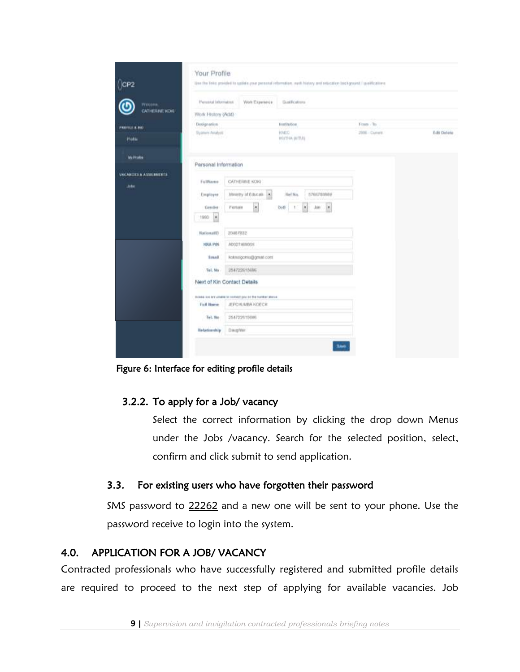| CP <sub>2</sub>                                   | Your Profile                |                                                          | Use the title provided to update your personal reformation, well-history and telecative background I qualifications. |                |                     |
|---------------------------------------------------|-----------------------------|----------------------------------------------------------|----------------------------------------------------------------------------------------------------------------------|----------------|---------------------|
| Wetoms:                                           | Perussial Islamatus         | Work Experience                                          | Qualifications                                                                                                       |                |                     |
| CATHERINE KOKE                                    | Work History (Add)          |                                                          |                                                                                                                      |                |                     |
| PROFILE & BIO                                     | Designation                 |                                                          | BUILDING                                                                                                             | From - To      |                     |
| Public                                            | Sly Mark Analyst            |                                                          | <b>HABIO</b><br>asizmos potititi                                                                                     | 2008 - Current | Edit Delete<br>20ac |
| My Profile                                        | Personal Information        |                                                          |                                                                                                                      |                |                     |
| <b><i>UACANTIES &amp; ASSIGNMENTS</i></b><br>Jobs | FullMartin                  | CATHERINE KORE                                           |                                                                                                                      |                |                     |
|                                                   | Employer                    | Member of Education                                      | S798759888<br>Hef Mn.                                                                                                |                |                     |
|                                                   | Genüer                      | $\bullet$<br>Fortain                                     | T.<br>×<br>Ooth<br>Ján<br>T                                                                                          |                |                     |
|                                                   | $\bullet$<br>1990           |                                                          |                                                                                                                      |                |                     |
|                                                   | Notional(D)                 | 20462032                                                 |                                                                                                                      |                |                     |
|                                                   | <b>HRA PIN</b>              | ADD27-MINOON                                             |                                                                                                                      |                |                     |
|                                                   | Enall                       | kokssogams@gmst.com                                      |                                                                                                                      |                |                     |
|                                                   | Tel. No                     | 254722615606                                             |                                                                                                                      |                |                     |
|                                                   | Next of Kin Contact Details |                                                          |                                                                                                                      |                |                     |
|                                                   |                             | ROADA IVE MY ADAPA TO SOFTAFF \$54.00 the traffier above |                                                                                                                      |                |                     |
|                                                   | Full Name                   | JEPCHUMBA KOECH                                          |                                                                                                                      |                |                     |
|                                                   | Tel. He                     | 254722615606                                             |                                                                                                                      |                |                     |
|                                                   | Hebitionship                | Daupher                                                  |                                                                                                                      |                |                     |

<span id="page-8-2"></span>Figure 6: Interface for editing profile details

#### 3.2.2. To apply for a Job/ vacancy

Select the correct information by clicking the drop down Menus under the Jobs /vacancy. Search for the selected position, select, confirm and click submit to send application.

#### <span id="page-8-0"></span>3.3. For existing users who have forgotten their password

SMS password to 22262 and a new one will be sent to your phone. Use the password receive to login into the system.

# <span id="page-8-1"></span>4.0. APPLICATION FOR A JOB/ VACANCY

Contracted professionals who have successfully registered and submitted profile details are required to proceed to the next step of applying for available vacancies. Job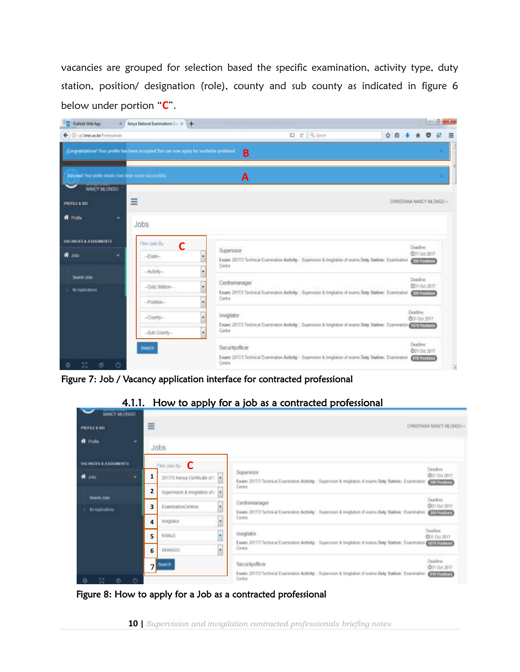vacancies are grouped for selection based the specific examination, activity type, duty station, position/ designation (role), county and sub county as indicated in figure 6 below under portion "**C**".



Figure 7: Job / Vacancy application interface for contracted professional

<span id="page-9-1"></span><span id="page-9-0"></span>

4.1.1. How to apply for a job as a contracted professional

<span id="page-9-2"></span>Figure 8: How to apply for a Job as a contracted professional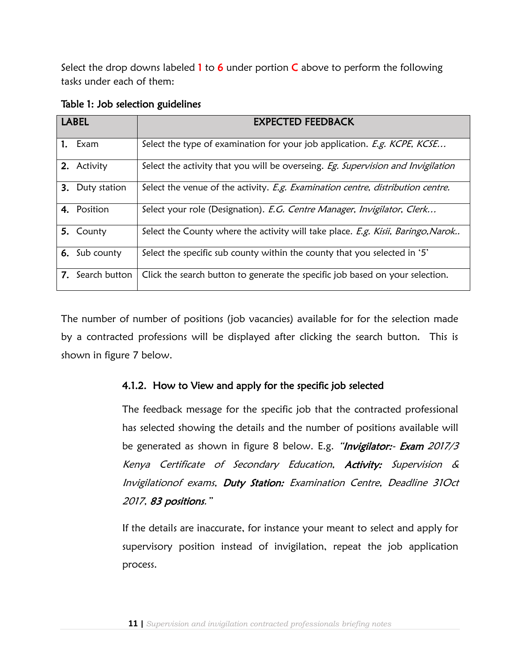Select the drop downs labeled 1 to 6 under portion  $C$  above to perform the following tasks under each of them:

| <b>LABEL</b> |                  | <b>EXPECTED FEEDBACK</b>                                                         |  |  |  |  |
|--------------|------------------|----------------------------------------------------------------------------------|--|--|--|--|
|              | 1. Exam          | Select the type of examination for your job application. E.g. KCPE, KCSE         |  |  |  |  |
|              | 2. Activity      | Select the activity that you will be overseing. Eg. Supervision and Invigilation |  |  |  |  |
|              | 3. Duty station  | Select the venue of the activity. E.g. Examination centre, distribution centre.  |  |  |  |  |
|              | 4. Position      | Select your role (Designation). E.G. Centre Manager, Invigilator, Clerk          |  |  |  |  |
|              | 5. County        | Select the County where the activity will take place. E.g. Kisii, Baringo, Narok |  |  |  |  |
|              | 6. Sub county    | Select the specific sub county within the county that you selected in '5'        |  |  |  |  |
|              | 7. Search button | Click the search button to generate the specific job based on your selection.    |  |  |  |  |

<span id="page-10-1"></span>Table 1: Job selection guidelines

The number of number of positions (job vacancies) available for for the selection made by a contracted professions will be displayed after clicking the search button. This is shown in figure 7 below.

# <span id="page-10-0"></span>4.1.2. How to View and apply for the specific job selected

The feedback message for the specific job that the contracted professional has selected showing the details and the number of positions available will be generated as shown in figure 8 below. E.g. "Invigilator:- Exam 2017/3 Kenya Certificate of Secondary Education, Activity: Supervision & Invigilationof exams, Duty Station: Examination Centre, Deadline 31Oct 2017, 83 positions."

If the details are inaccurate, for instance your meant to select and apply for supervisory position instead of invigilation, repeat the job application process.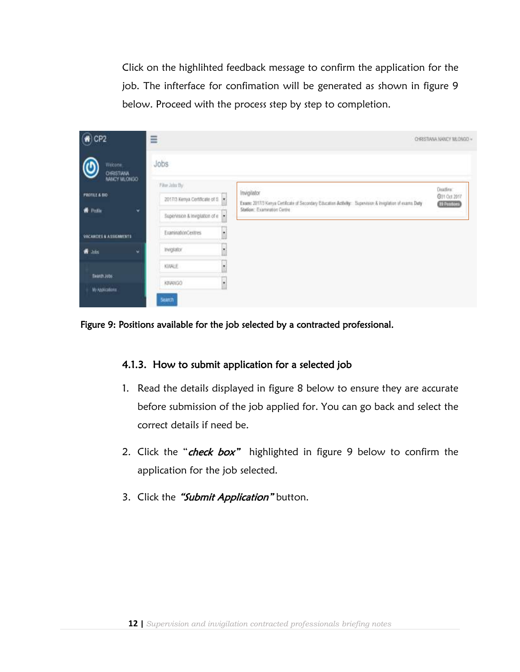Click on the highlihted feedback message to confirm the application for the job. The infterface for confimation will be generated as shown in figure 9 below. Proceed with the process step by step to completion.

| $\odot$ CP2                                   | ≡                                                                                               |                                                                                                                                                         | CHRISTIANA NANCY MLONGO -             |
|-----------------------------------------------|-------------------------------------------------------------------------------------------------|---------------------------------------------------------------------------------------------------------------------------------------------------------|---------------------------------------|
| Welcome:<br><b>CHRISTIANA</b><br>NANCY MLONGO | Jobs                                                                                            |                                                                                                                                                         |                                       |
| PROFILE & BIO<br><b>W</b> Polls<br>v          | Filter John Hy<br>2017/3 Kenya Certificate of B<br>Supervision & Invigilation of e<br>$\bullet$ | Invigilator<br>Exam: 2017/3 Kenya Certificate of Secondary Education Activity: : Supervisor: A involtation of exams Duty<br>Station: Examination Centre | Daading:<br>@31 Oct 2017<br>(DRIMING) |
| <b>VACANDES &amp; ASSIGNMENTS</b>             | EraminationCentres<br>×                                                                         |                                                                                                                                                         |                                       |
| # John<br>٠                                   | <b>Involvior</b><br>×                                                                           |                                                                                                                                                         |                                       |
| flearth Jubs                                  | <b>KWALE</b><br>٠                                                                               |                                                                                                                                                         |                                       |
| My Applications                               | KINANGO<br><b>Search</b>                                                                        |                                                                                                                                                         |                                       |

<span id="page-11-1"></span><span id="page-11-0"></span>Figure 9: Positions available for the job selected by a contracted professional.

#### 4.1.3. How to submit application for a selected job

- 1. Read the details displayed in figure 8 below to ensure they are accurate before submission of the job applied for. You can go back and select the correct details if need be.
- 2. Click the "check box" highlighted in figure 9 below to confirm the application for the job selected.
- 3. Click the "Submit Application" button.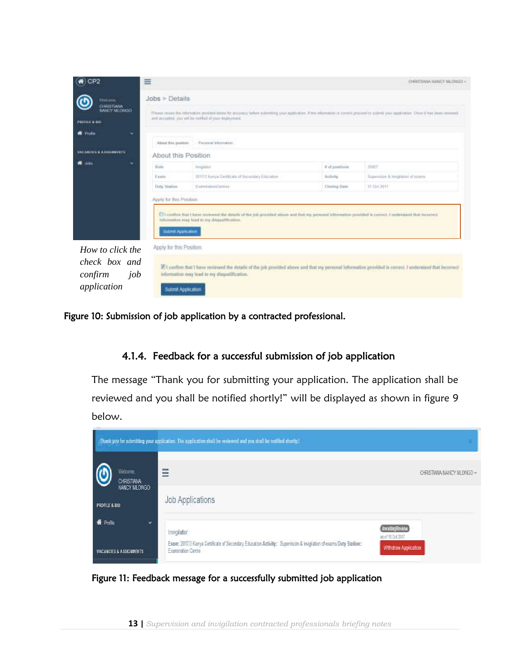| CP <sub>2</sub>                                                    | ≡                                                       |                                                                                                                                                                                                                                          |                                            | CHRISTINIA NANCY MLONGO -<br>a solution and compared the country |  |  |  |
|--------------------------------------------------------------------|---------------------------------------------------------|------------------------------------------------------------------------------------------------------------------------------------------------------------------------------------------------------------------------------------------|--------------------------------------------|------------------------------------------------------------------|--|--|--|
| Witches<br><b>CHRISTIANA</b><br>NARCY MLORGO<br>PROFILE & BID      | $Jobs$ > Details                                        | Please more the relations provided been by accuracy before substiting your application. If the elemention is constituted to subset your application. Once it has been received<br>and accepted, you will be retified of your imployment. |                                            |                                                                  |  |  |  |
| <b>R</b> Prida<br>×<br>VACABILITY & A SECONDITY                    | About thre powtern                                      | Personal Information<br>About this Position                                                                                                                                                                                              |                                            |                                                                  |  |  |  |
| <b>John</b>                                                        | <b>Tiotis</b><br>Enam<br>Duty Station                   | Invigibilit<br>2017/2 Kimya GettRoste of Sainmbay Education<br>CommutierCentres                                                                                                                                                          | # of positions<br>Activity<br>Clining Date | 30927<br>Happenisse & Smightter of courrel<br>31 Oct 2017        |  |  |  |
|                                                                    | Apply for this Postion<br><b>Butterilt Application:</b> | E it condition that I have reviewed the details of the job provided above and that my presental information provided is connect. I onderstand that incorrect<br>liformation may lead to my disqualification.                             |                                            |                                                                  |  |  |  |
| How to click the<br>check box and<br>confirm<br>job<br>application | Apply for this Position.<br>Submit Application          | [7] confirm that I have reviewed the details of the job provided above and that my personal information provided is correct. I understand that locorrect<br>leformation may lead to my disqualification.                                 |                                            |                                                                  |  |  |  |

<span id="page-12-1"></span><span id="page-12-0"></span>Figure 10: Submission of job application by a contracted professional.

#### 4.1.4. Feedback for a successful submission of job application

The message "Thank you for submitting your application. The application shall be reviewed and you shall be notified shortly!" will be displayed as shown in figure 9 below.

<span id="page-12-2"></span>

Figure 11: Feedback message for a successfully submitted job application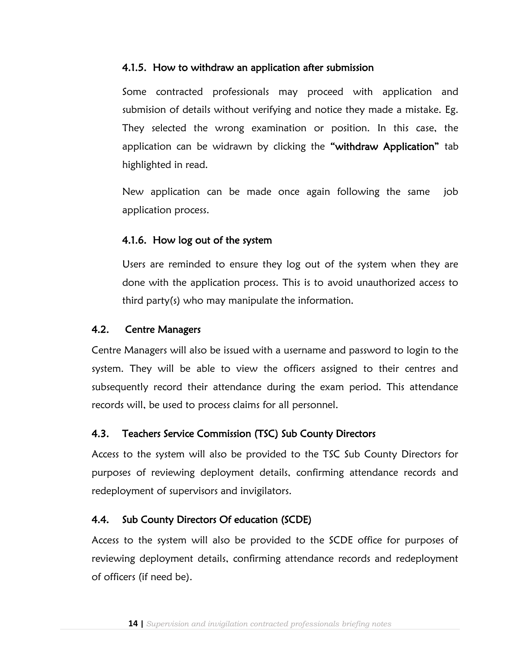#### <span id="page-13-0"></span>4.1.5. How to withdraw an application after submission

Some contracted professionals may proceed with application and submision of details without verifying and notice they made a mistake. Eg. They selected the wrong examination or position. In this case, the application can be widrawn by clicking the "withdraw Application" tab highlighted in read.

New application can be made once again following the same job application process.

# <span id="page-13-1"></span>4.1.6. How log out of the system

Users are reminded to ensure they log out of the system when they are done with the application process. This is to avoid unauthorized access to third party(s) who may manipulate the information.

# <span id="page-13-2"></span>4.2. Centre Managers

Centre Managers will also be issued with a username and password to login to the system. They will be able to view the officers assigned to their centres and subsequently record their attendance during the exam period. This attendance records will, be used to process claims for all personnel.

# <span id="page-13-3"></span>4.3. Teachers Service Commission (TSC) Sub County Directors

Access to the system will also be provided to the TSC Sub County Directors for purposes of reviewing deployment details, confirming attendance records and redeployment of supervisors and invigilators.

# <span id="page-13-4"></span>4.4. Sub County Directors Of education (SCDE)

Access to the system will also be provided to the SCDE office for purposes of reviewing deployment details, confirming attendance records and redeployment of officers (if need be).